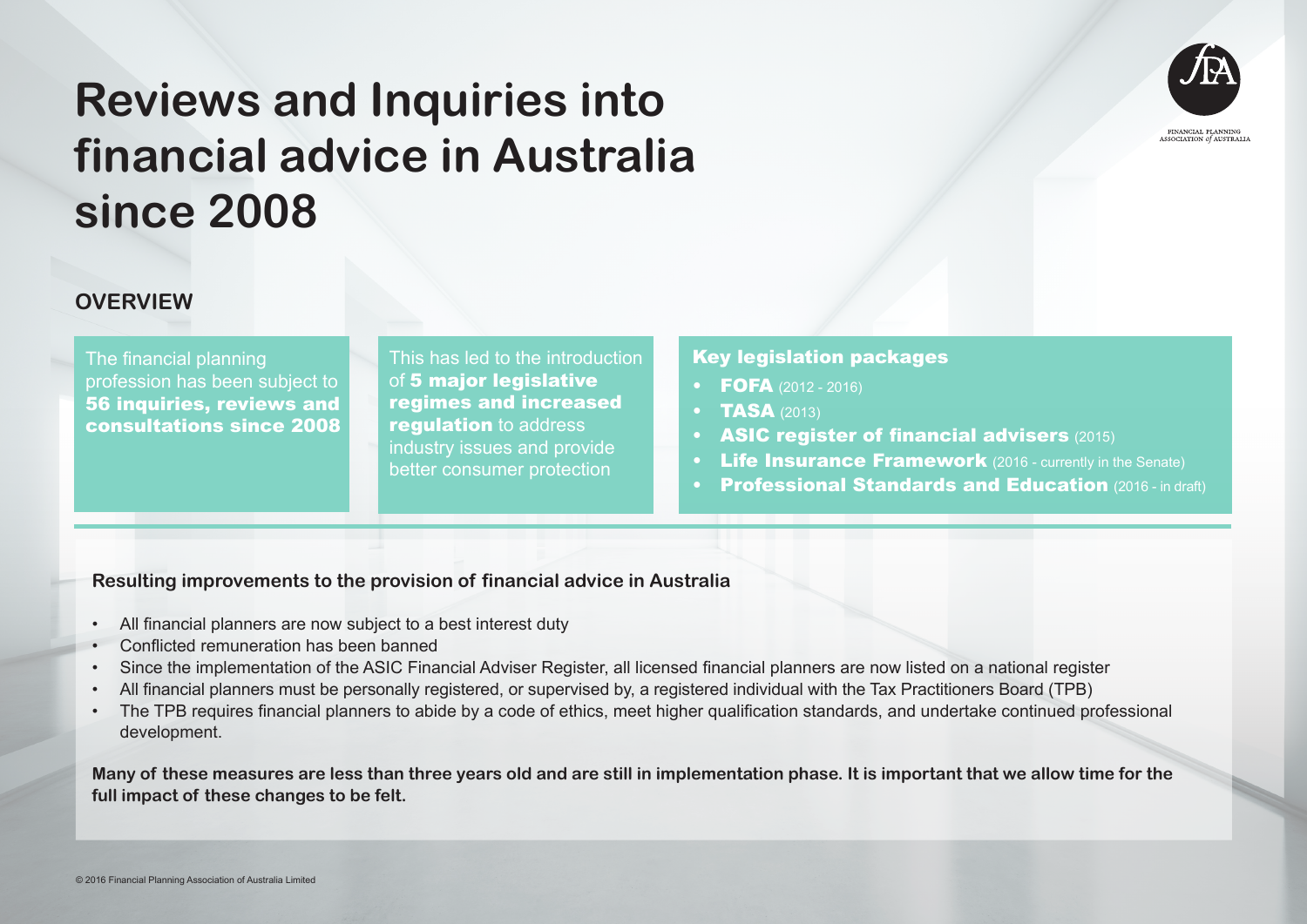

#### **OVERVIEW**

The financial planning profession has been subject to 56 inquiries, reviews and consultations since 2008

This has led to the introduction of 5 major legislative regimes and increased **requiation** to address industry issues and provide better consumer protection

#### Key legislation packages

- **FOFA** (2012 2016)
- **TASA** (2013)
- ASIC register of financial advisers (2015)
- **Life Insurance Framework** (2016 currently in the Senate)
- **Professional Standards and Education (2016 in draft)**

#### **Resulting improvements to the provision of financial advice in Australia**

- All financial planners are now subject to a best interest duty
- Conflicted remuneration has been banned
- Since the implementation of the ASIC Financial Adviser Register, all licensed financial planners are now listed on a national register
- All financial planners must be personally registered, or supervised by, a registered individual with the Tax Practitioners Board (TPB)
- The TPB requires financial planners to abide by a code of ethics, meet higher qualification standards, and undertake continued professional development.

**Many of these measures are less than three years old and are still in implementation phase. It is important that we allow time for the full impact of these changes to be felt.**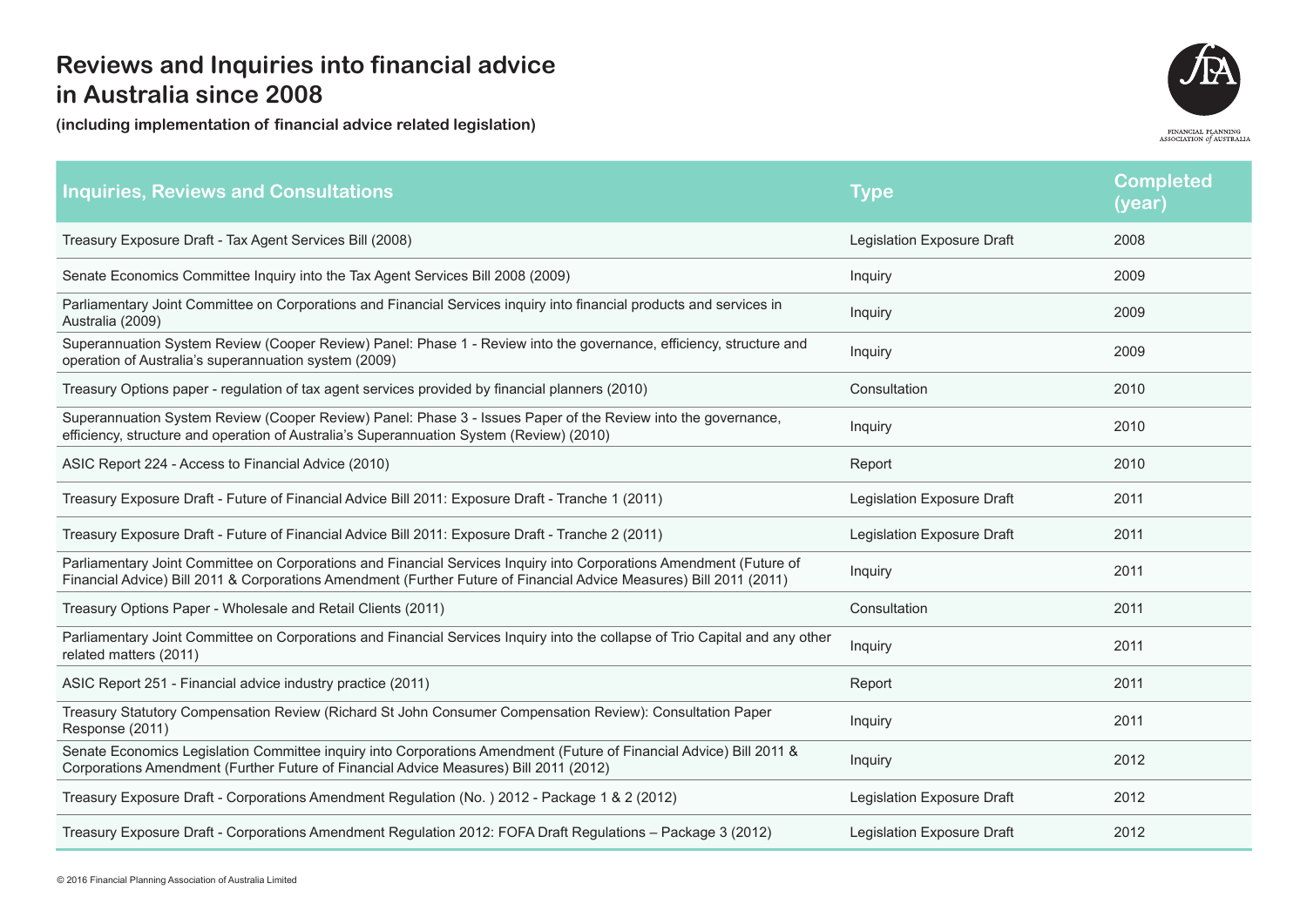

| <b>Inquiries, Reviews and Consultations</b>                                                                                                                                                                                                | <b>Type</b>                | <b>Completed</b><br>(year) |
|--------------------------------------------------------------------------------------------------------------------------------------------------------------------------------------------------------------------------------------------|----------------------------|----------------------------|
| Treasury Exposure Draft - Tax Agent Services Bill (2008)                                                                                                                                                                                   | Legislation Exposure Draft | 2008                       |
| Senate Economics Committee Inquiry into the Tax Agent Services Bill 2008 (2009)                                                                                                                                                            | Inquiry                    | 2009                       |
| Parliamentary Joint Committee on Corporations and Financial Services inquiry into financial products and services in<br>Australia (2009)                                                                                                   | Inquiry                    | 2009                       |
| Superannuation System Review (Cooper Review) Panel: Phase 1 - Review into the governance, efficiency, structure and<br>operation of Australia's superannuation system (2009)                                                               | Inquiry                    | 2009                       |
| Treasury Options paper - regulation of tax agent services provided by financial planners (2010)                                                                                                                                            | Consultation               | 2010                       |
| Superannuation System Review (Cooper Review) Panel: Phase 3 - Issues Paper of the Review into the governance,<br>efficiency, structure and operation of Australia's Superannuation System (Review) (2010)                                  | Inquiry                    | 2010                       |
| ASIC Report 224 - Access to Financial Advice (2010)                                                                                                                                                                                        | Report                     | 2010                       |
| Treasury Exposure Draft - Future of Financial Advice Bill 2011: Exposure Draft - Tranche 1 (2011)                                                                                                                                          | Legislation Exposure Draft | 2011                       |
| Treasury Exposure Draft - Future of Financial Advice Bill 2011: Exposure Draft - Tranche 2 (2011)                                                                                                                                          | Legislation Exposure Draft | 2011                       |
| Parliamentary Joint Committee on Corporations and Financial Services Inquiry into Corporations Amendment (Future of<br>Financial Advice) Bill 2011 & Corporations Amendment (Further Future of Financial Advice Measures) Bill 2011 (2011) | Inquiry                    | 2011                       |
| Treasury Options Paper - Wholesale and Retail Clients (2011)                                                                                                                                                                               | Consultation               | 2011                       |
| Parliamentary Joint Committee on Corporations and Financial Services Inquiry into the collapse of Trio Capital and any other<br>related matters (2011)                                                                                     | Inquiry                    | 2011                       |
| ASIC Report 251 - Financial advice industry practice (2011)                                                                                                                                                                                | Report                     | 2011                       |
| Treasury Statutory Compensation Review (Richard St John Consumer Compensation Review): Consultation Paper<br>Response (2011)                                                                                                               | Inquiry                    | 2011                       |
| Senate Economics Legislation Committee inquiry into Corporations Amendment (Future of Financial Advice) Bill 2011 &<br>Corporations Amendment (Further Future of Financial Advice Measures) Bill 2011 (2012)                               | Inquiry                    | 2012                       |
| Treasury Exposure Draft - Corporations Amendment Regulation (No.) 2012 - Package 1 & 2 (2012)                                                                                                                                              | Legislation Exposure Draft | 2012                       |
| Treasury Exposure Draft - Corporations Amendment Regulation 2012: FOFA Draft Regulations - Package 3 (2012)                                                                                                                                | Legislation Exposure Draft | 2012                       |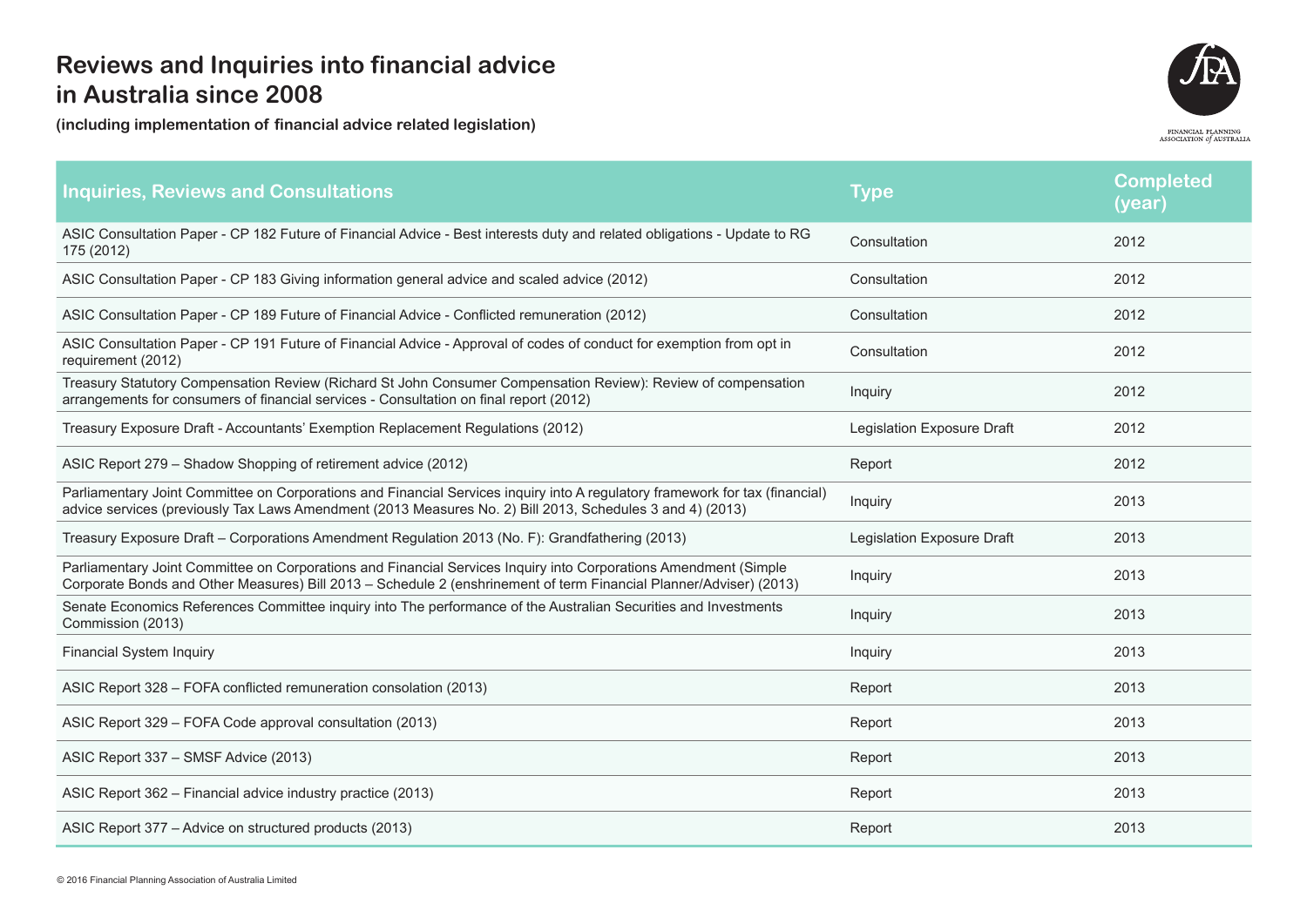

| <b>Inquiries, Reviews and Consultations</b>                                                                                                                                                                                               | Type                       | <b>Completed</b><br>(year) |
|-------------------------------------------------------------------------------------------------------------------------------------------------------------------------------------------------------------------------------------------|----------------------------|----------------------------|
| ASIC Consultation Paper - CP 182 Future of Financial Advice - Best interests duty and related obligations - Update to RG<br>175 (2012)                                                                                                    | Consultation               | 2012                       |
| ASIC Consultation Paper - CP 183 Giving information general advice and scaled advice (2012)                                                                                                                                               | Consultation               | 2012                       |
| ASIC Consultation Paper - CP 189 Future of Financial Advice - Conflicted remuneration (2012)                                                                                                                                              | Consultation               | 2012                       |
| ASIC Consultation Paper - CP 191 Future of Financial Advice - Approval of codes of conduct for exemption from opt in<br>requirement (2012)                                                                                                | Consultation               | 2012                       |
| Treasury Statutory Compensation Review (Richard St John Consumer Compensation Review): Review of compensation<br>arrangements for consumers of financial services - Consultation on final report (2012)                                   | Inquiry                    | 2012                       |
| Treasury Exposure Draft - Accountants' Exemption Replacement Regulations (2012)                                                                                                                                                           | Legislation Exposure Draft | 2012                       |
| ASIC Report 279 - Shadow Shopping of retirement advice (2012)                                                                                                                                                                             | Report                     | 2012                       |
| Parliamentary Joint Committee on Corporations and Financial Services inquiry into A regulatory framework for tax (financial)<br>advice services (previously Tax Laws Amendment (2013 Measures No. 2) Bill 2013, Schedules 3 and 4) (2013) | Inquiry                    | 2013                       |
| Treasury Exposure Draft - Corporations Amendment Regulation 2013 (No. F): Grandfathering (2013)                                                                                                                                           | Legislation Exposure Draft | 2013                       |
| Parliamentary Joint Committee on Corporations and Financial Services Inquiry into Corporations Amendment (Simple<br>Corporate Bonds and Other Measures) Bill 2013 - Schedule 2 (enshrinement of term Financial Planner/Adviser) (2013)    | Inquiry                    | 2013                       |
| Senate Economics References Committee inquiry into The performance of the Australian Securities and Investments<br>Commission (2013)                                                                                                      | Inquiry                    | 2013                       |
| <b>Financial System Inquiry</b>                                                                                                                                                                                                           | Inquiry                    | 2013                       |
| ASIC Report 328 - FOFA conflicted remuneration consolation (2013)                                                                                                                                                                         | Report                     | 2013                       |
| ASIC Report 329 - FOFA Code approval consultation (2013)                                                                                                                                                                                  | Report                     | 2013                       |
| ASIC Report 337 - SMSF Advice (2013)                                                                                                                                                                                                      | Report                     | 2013                       |
| ASIC Report 362 - Financial advice industry practice (2013)                                                                                                                                                                               | Report                     | 2013                       |
| ASIC Report 377 - Advice on structured products (2013)                                                                                                                                                                                    | Report                     | 2013                       |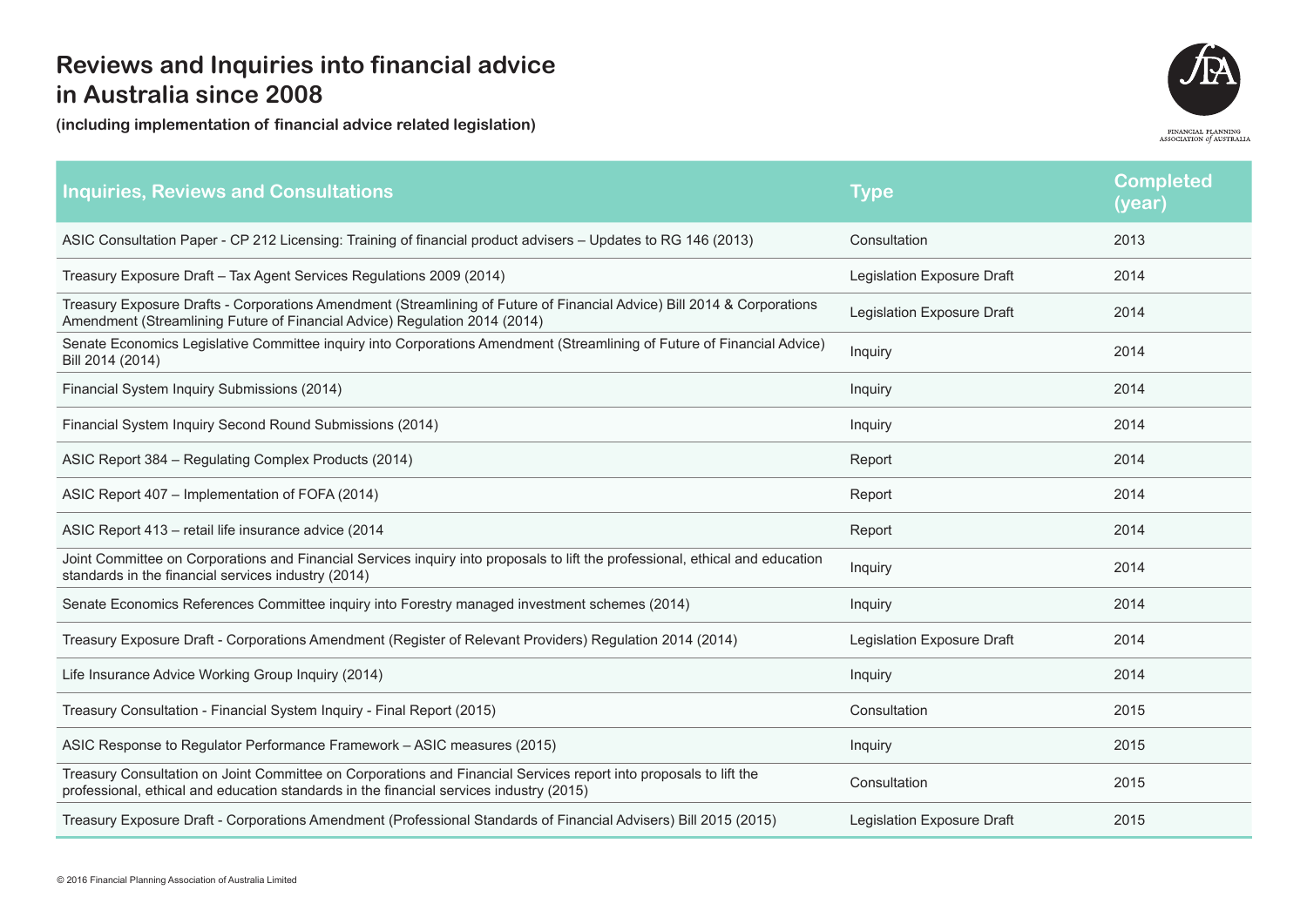

| <b>Inquiries, Reviews and Consultations</b>                                                                                                                                                                  | Type                       | <b>Completed</b><br>(year) |
|--------------------------------------------------------------------------------------------------------------------------------------------------------------------------------------------------------------|----------------------------|----------------------------|
| ASIC Consultation Paper - CP 212 Licensing: Training of financial product advisers - Updates to RG 146 (2013)                                                                                                | Consultation               | 2013                       |
| Treasury Exposure Draft - Tax Agent Services Regulations 2009 (2014)                                                                                                                                         | Legislation Exposure Draft | 2014                       |
| Treasury Exposure Drafts - Corporations Amendment (Streamlining of Future of Financial Advice) Bill 2014 & Corporations<br>Amendment (Streamlining Future of Financial Advice) Regulation 2014 (2014)        | Legislation Exposure Draft | 2014                       |
| Senate Economics Legislative Committee inquiry into Corporations Amendment (Streamlining of Future of Financial Advice)<br>Bill 2014 (2014)                                                                  | Inquiry                    | 2014                       |
| Financial System Inquiry Submissions (2014)                                                                                                                                                                  | Inquiry                    | 2014                       |
| Financial System Inquiry Second Round Submissions (2014)                                                                                                                                                     | Inquiry                    | 2014                       |
| ASIC Report 384 - Regulating Complex Products (2014)                                                                                                                                                         | Report                     | 2014                       |
| ASIC Report 407 - Implementation of FOFA (2014)                                                                                                                                                              | Report                     | 2014                       |
| ASIC Report 413 - retail life insurance advice (2014                                                                                                                                                         | Report                     | 2014                       |
| Joint Committee on Corporations and Financial Services inquiry into proposals to lift the professional, ethical and education<br>standards in the financial services industry (2014)                         | Inquiry                    | 2014                       |
| Senate Economics References Committee inquiry into Forestry managed investment schemes (2014)                                                                                                                | Inquiry                    | 2014                       |
| Treasury Exposure Draft - Corporations Amendment (Register of Relevant Providers) Regulation 2014 (2014)                                                                                                     | Legislation Exposure Draft | 2014                       |
| Life Insurance Advice Working Group Inquiry (2014)                                                                                                                                                           | Inquiry                    | 2014                       |
| Treasury Consultation - Financial System Inquiry - Final Report (2015)                                                                                                                                       | Consultation               | 2015                       |
| ASIC Response to Regulator Performance Framework - ASIC measures (2015)                                                                                                                                      | Inquiry                    | 2015                       |
| Treasury Consultation on Joint Committee on Corporations and Financial Services report into proposals to lift the<br>professional, ethical and education standards in the financial services industry (2015) | Consultation               | 2015                       |
| Treasury Exposure Draft - Corporations Amendment (Professional Standards of Financial Advisers) Bill 2015 (2015)                                                                                             | Legislation Exposure Draft | 2015                       |